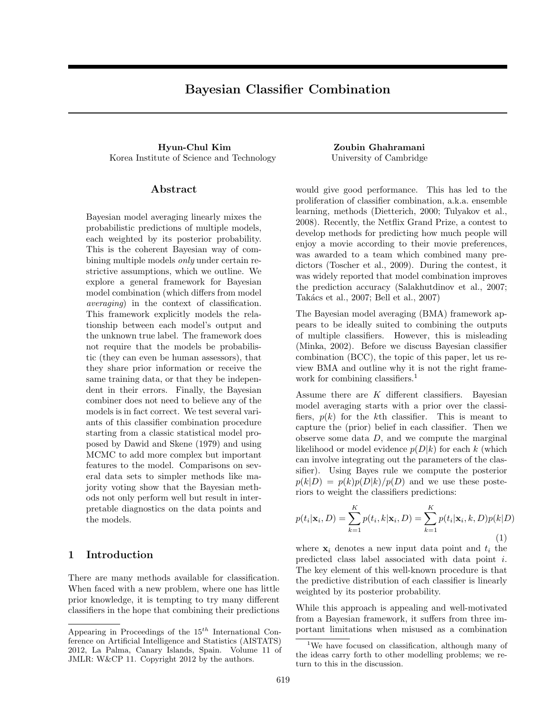# Bayesian Classifier Combination

Hyun-Chul Kim Zoubin Ghahramani Korea Institute of Science and Technology University of Cambridge

### Abstract

Bayesian model averaging linearly mixes the probabilistic predictions of multiple models, each weighted by its posterior probability. This is the coherent Bayesian way of combining multiple models only under certain restrictive assumptions, which we outline. We explore a general framework for Bayesian model combination (which differs from model averaging) in the context of classification. This framework explicitly models the relationship between each model's output and the unknown true label. The framework does not require that the models be probabilistic (they can even be human assessors), that they share prior information or receive the same training data, or that they be independent in their errors. Finally, the Bayesian combiner does not need to believe any of the models is in fact correct. We test several variants of this classifier combination procedure starting from a classic statistical model proposed by Dawid and Skene (1979) and using MCMC to add more complex but important features to the model. Comparisons on several data sets to simpler methods like majority voting show that the Bayesian methods not only perform well but result in interpretable diagnostics on the data points and the models.

## 1 Introduction

There are many methods available for classification. When faced with a new problem, where one has little prior knowledge, it is tempting to try many different classifiers in the hope that combining their predictions

would give good performance. This has led to the proliferation of classifier combination, a.k.a. ensemble learning, methods (Dietterich, 2000; Tulyakov et al., 2008). Recently, the Netflix Grand Prize, a contest to develop methods for predicting how much people will enjoy a movie according to their movie preferences, was awarded to a team which combined many predictors (Toscher et al., 2009). During the contest, it was widely reported that model combination improves the prediction accuracy (Salakhutdinov et al., 2007; Takács et al., 2007; Bell et al., 2007)

The Bayesian model averaging (BMA) framework appears to be ideally suited to combining the outputs of multiple classifiers. However, this is misleading (Minka, 2002). Before we discuss Bayesian classifier combination (BCC), the topic of this paper, let us review BMA and outline why it is not the right framework for combining classifiers.<sup>1</sup>

Assume there are  $K$  different classifiers. Bayesian model averaging starts with a prior over the classifiers,  $p(k)$  for the k<sup>th</sup> classifier. This is meant to capture the (prior) belief in each classifier. Then we observe some data D, and we compute the marginal likelihood or model evidence  $p(D|k)$  for each k (which can involve integrating out the parameters of the classifier). Using Bayes rule we compute the posterior  $p(k|D) = p(k)p(D|k)/p(D)$  and we use these posteriors to weight the classifiers predictions:

$$
p(t_i|\mathbf{x}_i, D) = \sum_{k=1}^{K} p(t_i, k|\mathbf{x}_i, D) = \sum_{k=1}^{K} p(t_i|\mathbf{x}_i, k, D)p(k|D)
$$
\n(1)

where  $x_i$  denotes a new input data point and  $t_i$  the predicted class label associated with data point i. The key element of this well-known procedure is that the predictive distribution of each classifier is linearly weighted by its posterior probability.

While this approach is appealing and well-motivated from a Bayesian framework, it suffers from three important limitations when misused as a combination

Appearing in Proceedings of the  $15^{th}$  International Conference on Artificial Intelligence and Statistics (AISTATS) 2012, La Palma, Canary Islands, Spain. Volume 11 of JMLR: W&CP 11. Copyright 2012 by the authors.

<sup>&</sup>lt;sup>1</sup>We have focused on classification, although many of the ideas carry forth to other modelling problems; we return to this in the discussion.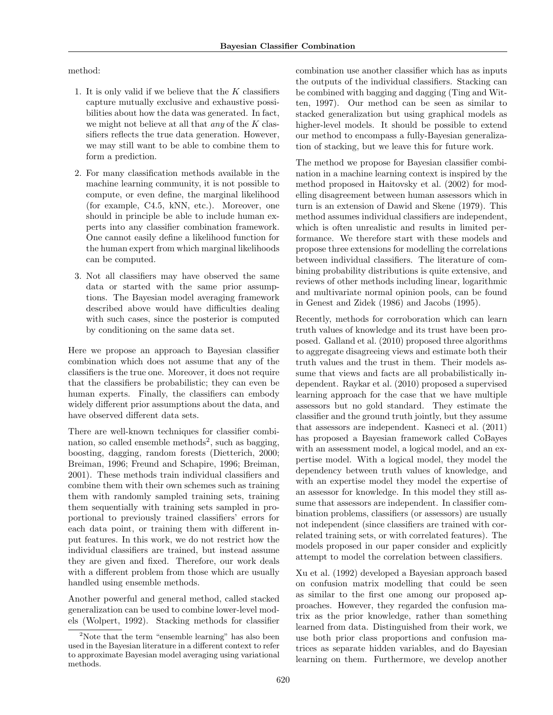method:

- 1. It is only valid if we believe that the  $K$  classifiers capture mutually exclusive and exhaustive possibilities about how the data was generated. In fact, we might not believe at all that *any* of the  $K$  classifiers reflects the true data generation. However, we may still want to be able to combine them to form a prediction.
- 2. For many classification methods available in the machine learning community, it is not possible to compute, or even define, the marginal likelihood (for example, C4.5, kNN, etc.). Moreover, one should in principle be able to include human experts into any classifier combination framework. One cannot easily define a likelihood function for the human expert from which marginal likelihoods can be computed.
- 3. Not all classifiers may have observed the same data or started with the same prior assumptions. The Bayesian model averaging framework described above would have difficulties dealing with such cases, since the posterior is computed by conditioning on the same data set.

Here we propose an approach to Bayesian classifier combination which does not assume that any of the classifiers is the true one. Moreover, it does not require that the classifiers be probabilistic; they can even be human experts. Finally, the classifiers can embody widely different prior assumptions about the data, and have observed different data sets.

There are well-known techniques for classifier combination, so called ensemble methods<sup>2</sup>, such as bagging, boosting, dagging, random forests (Dietterich, 2000; Breiman, 1996; Freund and Schapire, 1996; Breiman, 2001). These methods train individual classifiers and combine them with their own schemes such as training them with randomly sampled training sets, training them sequentially with training sets sampled in proportional to previously trained classifiers' errors for each data point, or training them with different input features. In this work, we do not restrict how the individual classifiers are trained, but instead assume they are given and fixed. Therefore, our work deals with a different problem from those which are usually handled using ensemble methods.

Another powerful and general method, called stacked generalization can be used to combine lower-level models (Wolpert, 1992). Stacking methods for classifier

combination use another classifier which has as inputs the outputs of the individual classifiers. Stacking can be combined with bagging and dagging (Ting and Witten, 1997). Our method can be seen as similar to stacked generalization but using graphical models as higher-level models. It should be possible to extend our method to encompass a fully-Bayesian generalization of stacking, but we leave this for future work.

The method we propose for Bayesian classifier combination in a machine learning context is inspired by the method proposed in Haitovsky et al. (2002) for modelling disagreement between human assessors which in turn is an extension of Dawid and Skene (1979). This method assumes individual classifiers are independent, which is often unrealistic and results in limited performance. We therefore start with these models and propose three extensions for modelling the correlations between individual classifiers. The literature of combining probability distributions is quite extensive, and reviews of other methods including linear, logarithmic and multivariate normal opinion pools, can be found in Genest and Zidek (1986) and Jacobs (1995).

Recently, methods for corroboration which can learn truth values of knowledge and its trust have been proposed. Galland et al. (2010) proposed three algorithms to aggregate disagreeing views and estimate both their truth values and the trust in them. Their models assume that views and facts are all probabilistically independent. Raykar et al. (2010) proposed a supervised learning approach for the case that we have multiple assessors but no gold standard. They estimate the classifier and the ground truth jointly, but they assume that assessors are independent. Kasneci et al. (2011) has proposed a Bayesian framework called CoBayes with an assessment model, a logical model, and an expertise model. With a logical model, they model the dependency between truth values of knowledge, and with an expertise model they model the expertise of an assessor for knowledge. In this model they still assume that assessors are independent. In classifier combination problems, classifiers (or assessors) are usually not independent (since classifiers are trained with correlated training sets, or with correlated features). The models proposed in our paper consider and explicitly attempt to model the correlation between classifiers.

Xu et al. (1992) developed a Bayesian approach based on confusion matrix modelling that could be seen as similar to the first one among our proposed approaches. However, they regarded the confusion matrix as the prior knowledge, rather than something learned from data. Distinguished from their work, we use both prior class proportions and confusion matrices as separate hidden variables, and do Bayesian learning on them. Furthermore, we develop another

<sup>2</sup>Note that the term "ensemble learning" has also been used in the Bayesian literature in a different context to refer to approximate Bayesian model averaging using variational methods.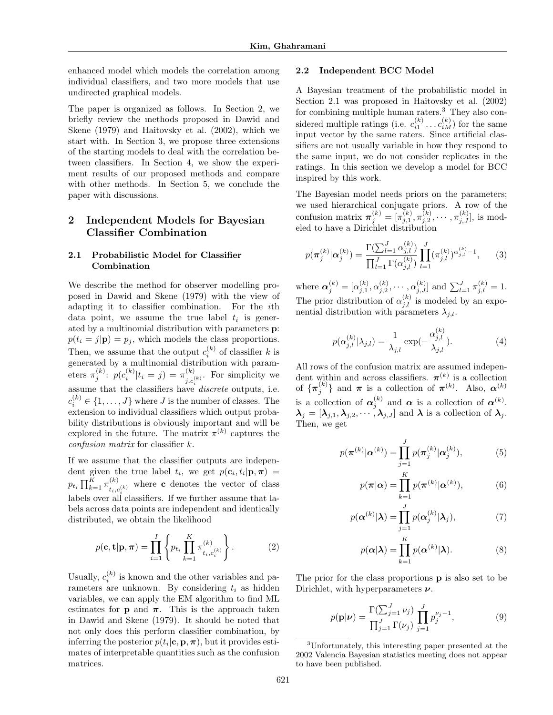enhanced model which models the correlation among individual classifiers, and two more models that use undirected graphical models.

The paper is organized as follows. In Section 2, we briefly review the methods proposed in Dawid and Skene (1979) and Haitovsky et al. (2002), which we start with. In Section 3, we propose three extensions of the starting models to deal with the correlation between classifiers. In Section 4, we show the experiment results of our proposed methods and compare with other methods. In Section 5, we conclude the paper with discussions.

## 2 Independent Models for Bayesian Classifier Combination

## 2.1 Probabilistic Model for Classifier Combination

We describe the method for observer modelling proposed in Dawid and Skene (1979) with the view of adapting it to classifier combination. For the ith data point, we assume the true label  $t_i$  is generated by a multinomial distribution with parameters p:  $p(t_i = j|\mathbf{p}) = p_i$ , which models the class proportions. Then, we assume that the output  $c_i^{(k)}$  of classifier k is generated by a multinomial distribution with parameters  $\pi_j^{(k)}$ :  $p(c_i^{(k)} | t_i = j) = \pi_{i,c_i}^{(k)}$  $\sum_{j,c_i^{(k)}}^{(k)}$ . For simplicity we assume that the classifiers have *discrete* outputs, i.e.  $c_i^{(k)} \in \{1, \ldots, J\}$  where J is the number of classes. The extension to individual classifiers which output probability distributions is obviously important and will be explored in the future. The matrix  $\pi^{(k)}$  captures the confusion matrix for classifier k.

If we assume that the classifier outputs are independent given the true label  $t_i$ , we get  $p(\mathbf{c}_i, t_i | \mathbf{p}, \boldsymbol{\pi}) =$  $p_{t_i} \prod_{k=1}^{K} \pi_{t_{t_i}}^{(k)}$  $\sum_{i_1, c_i^{(k)}}^{(k)}$  where **c** denotes the vector of class labels over all classifiers. If we further assume that labels across data points are independent and identically distributed, we obtain the likelihood

$$
p(\mathbf{c}, \mathbf{t} | \mathbf{p}, \boldsymbol{\pi}) = \prod_{i=1}^{I} \left\{ p_{t_i} \prod_{k=1}^{K} \pi_{t_i, c_i^{(k)}}^{(k)} \right\}.
$$
 (2)

Usually,  $c_i^{(k)}$  is known and the other variables and parameters are unknown. By considering  $t_i$  as hidden variables, we can apply the EM algorithm to find ML estimates for **p** and  $\pi$ . This is the approach taken in Dawid and Skene (1979). It should be noted that not only does this perform classifier combination, by inferring the posterior  $p(t_i | \mathbf{c}, \mathbf{p}, \boldsymbol{\pi})$ , but it provides estimates of interpretable quantities such as the confusion matrices.

#### 2.2 Independent BCC Model

A Bayesian treatment of the probabilistic model in Section 2.1 was proposed in Haitovsky et al. (2002) for combining multiple human raters.<sup>3</sup> They also considered multiple ratings (i.e.  $c_{i1}^{(k)} \dots c_{iM}^{(k)}$ ) for the same input vector by the same raters. Since artificial classifiers are not usually variable in how they respond to the same input, we do not consider replicates in the ratings. In this section we develop a model for BCC inspired by this work.

The Bayesian model needs priors on the parameters; we used hierarchical conjugate priors. A row of the confusion matrix  $\pi_j^{(k)} = [\pi_{j,1}^{(k)}, \pi_{j,2}^{(k)}, \cdots, \pi_{j,J}^{(k)}]$ , is modeled to have a Dirichlet distribution

$$
p(\boldsymbol{\pi}_{j}^{(k)}|\boldsymbol{\alpha}_{j}^{(k)}) = \frac{\Gamma(\sum_{l=1}^{J} \alpha_{j,l}^{(k)})}{\prod_{l=1}^{J} \Gamma(\alpha_{j,l}^{(k)})} \prod_{l=1}^{J} (\pi_{j,l}^{(k)})^{\alpha_{j,l}^{(k)} - 1}, \qquad (3)
$$

where  $\alpha_j^{(k)} = [\alpha_{j,1}^{(k)}, \alpha_{j,2}^{(k)}, \cdots, \alpha_{j,J}^{(k)}]$  and  $\sum_{l=1}^{J} \pi_{j,l}^{(k)} = 1$ . The prior distribution of  $\alpha_{j,l}^{(k)}$  is modeled by an exponential distribution with parameters  $\lambda_{j,l}$ .

$$
p(\alpha_{j,l}^{(k)}|\lambda_{j,l}) = \frac{1}{\lambda_{j,l}} \exp(-\frac{\alpha_{j,l}^{(k)}}{\lambda_{j,l}}). \tag{4}
$$

All rows of the confusion matrix are assumed independent within and across classifiers.  $\pi^{(k)}$  is a collection of  $\{\boldsymbol{\pi}_j^{(k)}\}$  and  $\boldsymbol{\pi}$  is a collection of  $\boldsymbol{\pi}^{(k)}$ . Also,  $\boldsymbol{\alpha}^{(k)}$ is a collection of  $\alpha_j^{(k)}$  and  $\alpha$  is a collection of  $\alpha^{(k)}$ .  $\boldsymbol{\lambda}_j = [\boldsymbol{\lambda}_{j,1}, \boldsymbol{\lambda}_{j,2}, \cdots, \boldsymbol{\lambda}_{j,J}]$  and  $\boldsymbol{\lambda}$  is a collection of  $\boldsymbol{\lambda}_j$ . Then, we get

$$
p(\boldsymbol{\pi}^{(k)}|\boldsymbol{\alpha}^{(k)}) = \prod_{j=1}^{J} p(\boldsymbol{\pi}_{j}^{(k)}|\boldsymbol{\alpha}_{j}^{(k)}),
$$
 (5)

$$
p(\boldsymbol{\pi}|\boldsymbol{\alpha}) = \prod_{k=1}^{K} p(\boldsymbol{\pi}^{(k)}|\boldsymbol{\alpha}^{(k)}),
$$
 (6)

$$
p(\boldsymbol{\alpha}^{(k)}|\boldsymbol{\lambda}) = \prod_{j=1}^{J} p(\boldsymbol{\alpha}_j^{(k)}|\boldsymbol{\lambda}_j),
$$
 (7)

$$
p(\boldsymbol{\alpha}|\boldsymbol{\lambda}) = \prod_{k=1}^{K} p(\boldsymbol{\alpha}^{(k)}|\boldsymbol{\lambda}).
$$
 (8)

The prior for the class proportions p is also set to be Dirichlet, with hyperparameters  $\nu$ .

$$
p(\mathbf{p}|\nu) = \frac{\Gamma(\sum_{j=1}^{J} \nu_j)}{\prod_{j=1}^{J} \Gamma(\nu_j)} \prod_{j=1}^{J} p_j^{\nu_j - 1},
$$
(9)

<sup>3</sup>Unfortunately, this interesting paper presented at the 2002 Valencia Bayesian statistics meeting does not appear to have been published.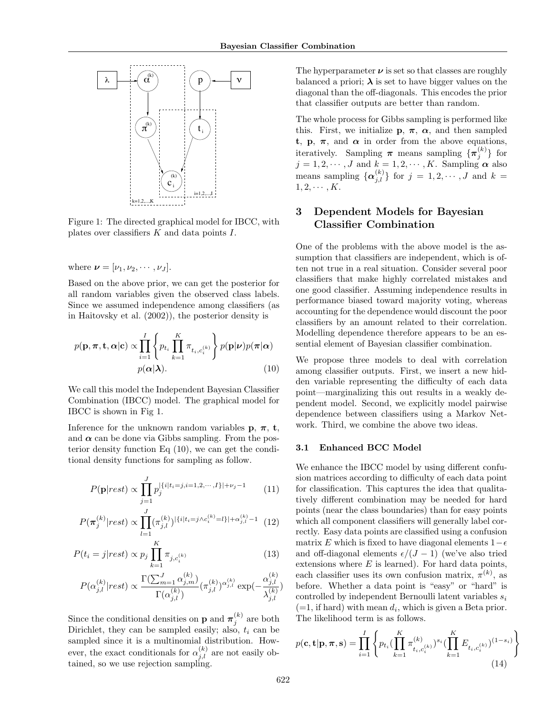

Figure 1: The directed graphical model for IBCC, with plates over classifiers  $K$  and data points  $I$ .

where  $\boldsymbol{\nu} = [\nu_1, \nu_2, \cdots, \nu_J].$ 

Based on the above prior, we can get the posterior for all random variables given the observed class labels. Since we assumed independence among classifiers (as in Haitovsky et al. (2002)), the posterior density is

$$
p(\mathbf{p}, \boldsymbol{\pi}, \mathbf{t}, \boldsymbol{\alpha} | \mathbf{c}) \propto \prod_{i=1}^{I} \left\{ p_{t_i} \prod_{k=1}^{K} \pi_{t_i, c_i^{(k)}} \right\} p(\mathbf{p} | \boldsymbol{\nu}) p(\boldsymbol{\pi} | \boldsymbol{\alpha})
$$

$$
p(\boldsymbol{\alpha} | \boldsymbol{\lambda}). \tag{10}
$$

We call this model the Independent Bayesian Classifier Combination (IBCC) model. The graphical model for IBCC is shown in Fig 1.

Inference for the unknown random variables  $\mathbf{p}, \pi, \mathbf{t}$ , and  $\alpha$  can be done via Gibbs sampling. From the posterior density function Eq (10), we can get the conditional density functions for sampling as follow.

$$
P(\mathbf{p}|rest) \propto \prod_{j=1}^{J} p_j^{\left|\{i|t_i=j, i=1, 2, \cdots, I\}\right| + \nu_j - 1} \tag{11}
$$

$$
P(\pi_j^{(k)} | rest) \propto \prod_{l=1}^{J} (\pi_{j,l}^{(k)})^{|\{i|t_i=j \wedge c_i^{(k)}=l\}|+\alpha_{j,l}^{(k)}-1} \tag{12}
$$

$$
P(t_i = j|rest) \propto p_j \prod_{k=1}^{K} \pi_{j,c_i^{(k)}} \tag{13}
$$

$$
P(\alpha_{j,l}^{(k)}|rest) \propto \frac{\Gamma(\sum_{m=1}^{J}\alpha_{j,m}^{(k)})}{\Gamma(\alpha_{j,l}^{(k)})} (\pi_{j,l}^{(k)})^{\alpha_{j,l}^{(k)}}\exp(-\frac{\alpha_{j,l}^{(k)}}{\lambda_{j,l}^{(k)}})
$$

Since the conditional densities on **p** and  $\pi_j^{(k)}$  are both Dirichlet, they can be sampled easily; also,  $t_i$  can be sampled since it is a multinomial distribution. However, the exact conditionals for  $\alpha_{j,l}^{(k)}$  are not easily obtained, so we use rejection sampling.

The hyperparameter  $\nu$  is set so that classes are roughly balanced a priori;  $\lambda$  is set to have bigger values on the diagonal than the off-diagonals. This encodes the prior that classifier outputs are better than random.

The whole process for Gibbs sampling is performed like this. First, we initialize **p**,  $\pi$ ,  $\alpha$ , and then sampled t, p,  $\pi$ , and  $\alpha$  in order from the above equations, iteratively. Sampling  $\pi$  means sampling  $\{\pi_j^{(k)}\}$  for  $j = 1, 2, \dots, J$  and  $k = 1, 2, \dots, K$ . Sampling  $\alpha$  also means sampling  $\{\alpha_{j,l}^{(k)}\}$  for  $j = 1, 2, \cdots, J$  and  $k =$  $1, 2, \cdots, K.$ 

## 3 Dependent Models for Bayesian Classifier Combination

One of the problems with the above model is the assumption that classifiers are independent, which is often not true in a real situation. Consider several poor classifiers that make highly correlated mistakes and one good classifier. Assuming independence results in performance biased toward majority voting, whereas accounting for the dependence would discount the poor classifiers by an amount related to their correlation. Modelling dependence therefore appears to be an essential element of Bayesian classifier combination.

We propose three models to deal with correlation among classifier outputs. First, we insert a new hidden variable representing the difficulty of each data point—marginalizing this out results in a weakly dependent model. Second, we explicitly model pairwise dependence between classifiers using a Markov Network. Third, we combine the above two ideas.

#### 3.1 Enhanced BCC Model

We enhance the IBCC model by using different confusion matrices according to difficulty of each data point for classification. This captures the idea that qualitatively different combination may be needed for hard points (near the class boundaries) than for easy points which all component classifiers will generally label correctly. Easy data points are classified using a confusion matrix E which is fixed to have diagonal elements  $1-\epsilon$ and off-diagonal elements  $\epsilon/(J - 1)$  (we've also tried extensions where  $E$  is learned). For hard data points, each classifier uses its own confusion matrix,  $\pi^{(k)}$ , as before. Whether a data point is "easy" or "hard" is controlled by independent Bernoulli latent variables  $s_i$  $(=1, \text{ if hard})$  with mean  $d_i$ , which is given a Beta prior. The likelihood term is as follows.

$$
p(\mathbf{c}, \mathbf{t} | \mathbf{p}, \boldsymbol{\pi}, \mathbf{s}) = \prod_{i=1}^{I} \left\{ p_{t_i} (\prod_{k=1}^{K} \pi_{t_i, c_i^{(k)}}^{(k)})^{s_i} (\prod_{k=1}^{K} E_{t_i, c_i^{(k)}})^{(1-s_i)} \right\}
$$
(14)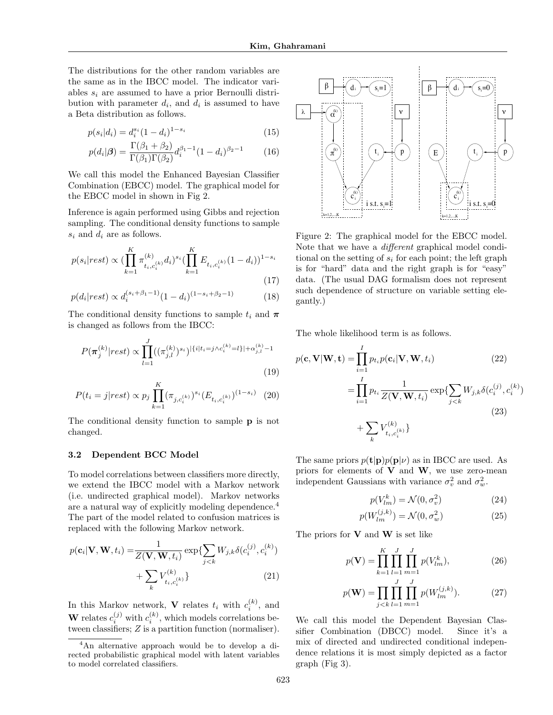The distributions for the other random variables are the same as in the IBCC model. The indicator variables  $s_i$  are assumed to have a prior Bernoulli distribution with parameter  $d_i$ , and  $d_i$  is assumed to have a Beta distribution as follows.

$$
p(s_i|d_i) = d_i^{s_i} (1 - d_i)^{1 - s_i}
$$
\n(15)

$$
p(d_i|\boldsymbol{\beta}) = \frac{\Gamma(\beta_1 + \beta_2)}{\Gamma(\beta_1)\Gamma(\beta_2)} d_i^{\beta_1 - 1} (1 - d_i)^{\beta_2 - 1}
$$
 (16)

We call this model the Enhanced Bayesian Classifier Combination (EBCC) model. The graphical model for the EBCC model in shown in Fig 2.

Inference is again performed using Gibbs and rejection sampling. The conditional density functions to sample  $s_i$  and  $d_i$  are as follows.

$$
p(s_i|rest) \propto (\prod_{k=1}^{K} \pi_{t_i, c_i^{(k)}}^{(k)} d_i)^{s_i} (\prod_{k=1}^{K} E_{t_i, c_i^{(k)}} (1 - d_i))^{1 - s_i}
$$
\n(17)

$$
p(d_i|rest) \propto d_i^{(s_i+\beta_1-1)}(1-d_i)^{(1-s_i+\beta_2-1)}
$$
 (18)

The conditional density functions to sample  $t_i$  and  $\pi$ is changed as follows from the IBCC:

$$
P(\boldsymbol{\pi}_{j}^{(k)}|rest) \propto \prod_{l=1}^{J} ((\pi_{j,l}^{(k)})^{s_{i}})^{|\{i|t_{i}=j\wedge c_{i}^{(k)}=l\}|+\alpha_{j,l}^{(k)}-1}
$$
\n(19)

$$
P(t_i = j|rest) \propto p_j \prod_{k=1}^{K} (\pi_{j, c_i^{(k)}})^{s_i} (E_{t_i, c_i^{(k)}})^{(1 - s_i)}
$$
 (20)

The conditional density function to sample p is not changed.

#### 3.2 Dependent BCC Model

To model correlations between classifiers more directly, we extend the IBCC model with a Markov network (i.e. undirected graphical model). Markov networks are a natural way of explicitly modeling dependence.<sup>4</sup> The part of the model related to confusion matrices is replaced with the following Markov network.

$$
p(\mathbf{c}_i|\mathbf{V}, \mathbf{W}, t_i) = \frac{1}{Z(\mathbf{V}, \mathbf{W}, t_i)} \exp\{\sum_{j < k} W_{j,k} \delta(c_i^{(j)}, c_i^{(k)}) + \sum_k V_{t_i, c_i^{(k)}}^{(k)}\}
$$
\n
$$
(21)
$$

In this Markov network, **V** relates  $t_i$  with  $c_i^{(k)}$ , and **W** relates  $c_i^{(j)}$  with  $c_i^{(k)}$ , which models correlations between classifiers; Z is a partition function (normaliser).



Figure 2: The graphical model for the EBCC model. Note that we have a different graphical model conditional on the setting of  $s_i$  for each point; the left graph is for "hard" data and the right graph is for "easy" data. (The usual DAG formalism does not represent such dependence of structure on variable setting elegantly.)

The whole likelihood term is as follows.

$$
p(\mathbf{c}, \mathbf{V}|\mathbf{W}, \mathbf{t}) = \prod_{i=1}^{I} p_{t_i} p(\mathbf{c}_i | \mathbf{V}, \mathbf{W}, t_i)
$$
(22)  

$$
= \prod_{i=1}^{I} p_{t_i} \frac{1}{Z(\mathbf{V}, \mathbf{W}, t_i)} \exp\{\sum_{j < k} W_{j,k} \delta(c_i^{(j)}, c_i^{(k)})
$$
(23)  

$$
+ \sum_k V_{t_i, c_i^{(k)}}^{(k)}\}
$$

The same priors  $p(\mathbf{t}|\mathbf{p})p(\mathbf{p}|\nu)$  as in IBCC are used. As priors for elements of  $V$  and  $W$ , we use zero-mean independent Gaussians with variance  $\sigma_v^2$  and  $\sigma_w^2$ .

$$
p(V_{lm}^k) = \mathcal{N}(0, \sigma_v^2)
$$
 (24)

$$
p(W_{lm}^{(j,k)}) = \mathcal{N}(0, \sigma_w^2)
$$
\n<sup>(25)</sup>

The priors for  $V$  and  $W$  is set like

$$
p(\mathbf{V}) = \prod_{k=1}^{K} \prod_{l=1}^{J} \prod_{m=1}^{J} p(V_{lm}^k),
$$
 (26)

$$
p(\mathbf{W}) = \prod_{j < k} \prod_{l=1}^{J} \prod_{m=1}^{J} p(W_{lm}^{(j,k)}).
$$
\n(27)

We call this model the Dependent Bayesian Classifier Combination (DBCC) model. Since it's a mix of directed and undirected conditional independence relations it is most simply depicted as a factor graph (Fig 3).

<sup>4</sup>An alternative approach would be to develop a directed probabilistic graphical model with latent variables to model correlated classifiers.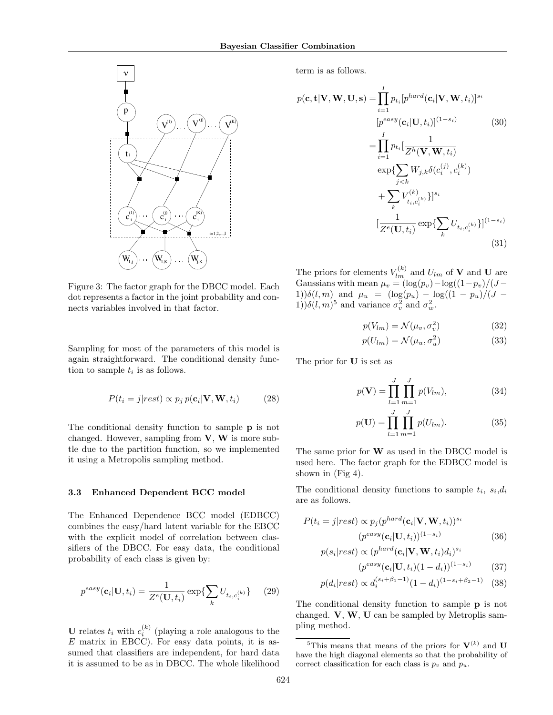

Figure 3: The factor graph for the DBCC model. Each dot represents a factor in the joint probability and connects variables involved in that factor.

Sampling for most of the parameters of this model is again straightforward. The conditional density function to sample  $t_i$  is as follows.

$$
P(t_i = j|rest) \propto p_j p(\mathbf{c}_i | \mathbf{V}, \mathbf{W}, t_i)
$$
 (28)

The conditional density function to sample p is not changed. However, sampling from  $V$ ,  $W$  is more subtle due to the partition function, so we implemented it using a Metropolis sampling method.

#### 3.3 Enhanced Dependent BCC model

The Enhanced Dependence BCC model (EDBCC) combines the easy/hard latent variable for the EBCC with the explicit model of correlation between classifiers of the DBCC. For easy data, the conditional probability of each class is given by:

$$
p^{easy}(\mathbf{c}_i | \mathbf{U}, t_i) = \frac{1}{Z^e(\mathbf{U}, t_i)} \exp\{\sum_k U_{t_i, c_i^{(k)}}\} \tag{29}
$$

**U** relates  $t_i$  with  $c_i^{(k)}$  (playing a role analogous to the  $E$  matrix in EBCC). For easy data points, it is assumed that classifiers are independent, for hard data it is assumed to be as in DBCC. The whole likelihood

term is as follows.

$$
p(\mathbf{c}, \mathbf{t} | \mathbf{V}, \mathbf{W}, \mathbf{U}, \mathbf{s}) = \prod_{i=1}^{I} p_{t_i} [p^{hard}(\mathbf{c}_i | \mathbf{V}, \mathbf{W}, t_i)]^{s_i}
$$
  
\n
$$
[p^{easy}(\mathbf{c}_i | \mathbf{U}, t_i)]^{(1-s_i)} \qquad (30)
$$
  
\n
$$
= \prod_{i=1}^{I} p_{t_i} [\frac{1}{Z^h(\mathbf{V}, \mathbf{W}, t_i)}
$$
  
\n
$$
\exp{\sum_{j < k} W_{j,k} \delta(c_i^{(j)}, c_i^{(k)})}
$$
  
\n
$$
+ \sum_{k} V_{t_i, c_i^{(k)}}^{(k)} \} ]^{s_i}
$$
  
\n
$$
[\frac{1}{Z^e(\mathbf{U}, t_i)} \exp{\sum_{k} U_{t_i, c_i^{(k)}}}]^{(1-s_i)}
$$
  
\n(31)

The priors for elements  $V_{lm}^{(k)}$  and  $U_{lm}$  of **V** and **U** are Gaussians with mean  $\mu_v = (\log(p_v) - \log((1-p_v)/(J -$ 1)) $\delta(l,m)$  and  $\mu_u = (\log(p_u) - \log((1 - p_u)/(J -$ 1)) $\delta(l,m)^5$  and variance  $\sigma_v^2$  and  $\sigma_w^2$ .

$$
p(V_{lm}) = \mathcal{N}(\mu_v, \sigma_v^2)
$$
 (32)

$$
p(U_{lm}) = \mathcal{N}(\mu_u, \sigma_u^2)
$$
 (33)

The prior for U is set as

$$
p(\mathbf{V}) = \prod_{l=1}^{J} \prod_{m=1}^{J} p(V_{lm}),
$$
 (34)

$$
p(\mathbf{U}) = \prod_{l=1}^{J} \prod_{m=1}^{J} p(U_{lm}).
$$
 (35)

The same prior for W as used in the DBCC model is used here. The factor graph for the EDBCC model is shown in (Fig 4).

The conditional density functions to sample  $t_i$ ,  $s_i, d_i$ are as follows.

$$
P(t_i = j|rest) \propto p_j(p^{hard}(\mathbf{c}_i|\mathbf{V}, \mathbf{W}, t_i))^{s_i}
$$

$$
(p^{easy}(\mathbf{c}_i|\mathbf{U}, t_i))^{(1-s_i)}
$$
(36)

$$
p(s_i|rest) \propto (p^{hard}(\mathbf{c}_i|\mathbf{V}, \mathbf{W}, t_i)d_i)^{s_i}
$$
\n
$$
(es^{3N}(\mathbf{U}, \mathbf{W}, t_i))^{(1-s_i)} \quad (27)
$$

$$
(p^{easy}(\mathbf{c}_i | \mathbf{U}, t_i)(1 - d_i))^{(1 - s_i)}
$$
 (37)

$$
p(d_i|rest) \propto d_i^{(s_i+\beta_1-1)}(1-d_i)^{(1-s_i+\beta_2-1)} \quad (38)
$$

The conditional density function to sample p is not changed. V, W, U can be sampled by Metroplis sampling method.

<sup>&</sup>lt;sup>5</sup>This means that means of the priors for  $V^{(k)}$  and U have the high diagonal elements so that the probability of correct classification for each class is  $p_v$  and  $p_u$ .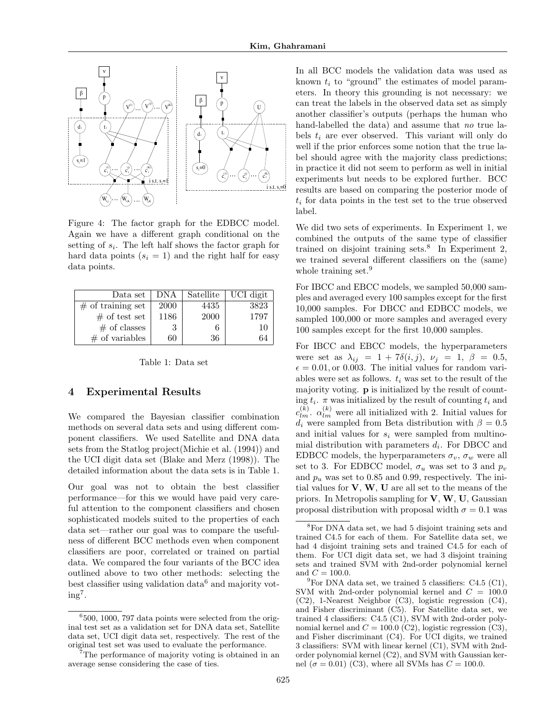

Figure 4: The factor graph for the EDBCC model. Again we have a different graph conditional on the setting of  $s_i$ . The left half shows the factor graph for hard data points  $(s<sub>i</sub> = 1)$  and the right half for easy data points.

| Data set             | DNA         | Satellite | UCI digit |
|----------------------|-------------|-----------|-----------|
| $\#$ of training set | <b>2000</b> | 4435      | 3823      |
| $#$ of test set      | 1186        | 2000      | 1797      |
| $#$ of classes       |             |           | 10        |
| $\#$ of variables    | 60          | 36        | 64        |

Table 1: Data set

## 4 Experimental Results

We compared the Bayesian classifier combination methods on several data sets and using different component classifiers. We used Satellite and DNA data sets from the Statlog project(Michie et al. (1994)) and the UCI digit data set (Blake and Merz (1998)). The detailed information about the data sets is in Table 1.

Our goal was not to obtain the best classifier performance—for this we would have paid very careful attention to the component classifiers and chosen sophisticated models suited to the properties of each data set—rather our goal was to compare the usefulness of different BCC methods even when component classifiers are poor, correlated or trained on partial data. We compared the four variants of the BCC idea outlined above to two other methods: selecting the best classifier using validation data<sup>6</sup> and majority vot $ing<sup>7</sup>$ .

In all BCC models the validation data was used as known  $t_i$  to "ground" the estimates of model parameters. In theory this grounding is not necessary: we can treat the labels in the observed data set as simply another classifier's outputs (perhaps the human who hand-labelled the data) and assume that no true labels  $t_i$  are ever observed. This variant will only do well if the prior enforces some notion that the true label should agree with the majority class predictions; in practice it did not seem to perform as well in initial experiments but needs to be explored further. BCC results are based on comparing the posterior mode of  $t_i$  for data points in the test set to the true observed label.

We did two sets of experiments. In Experiment 1, we combined the outputs of the same type of classifier trained on disjoint training sets.<sup>8</sup> In Experiment 2, we trained several different classifiers on the (same) whole training set.<sup>9</sup>

For IBCC and EBCC models, we sampled 50,000 samples and averaged every 100 samples except for the first 10,000 samples. For DBCC and EDBCC models, we sampled 100,000 or more samples and averaged every 100 samples except for the first 10,000 samples.

For IBCC and EBCC models, the hyperparameters were set as  $\lambda_{ij} = 1 + 7\delta(i,j), \nu_j = 1, \beta = 0.5,$  $\epsilon = 0.01$ , or 0.003. The initial values for random variables were set as follows.  $t_i$  was set to the result of the majority voting. p is initialized by the result of counting  $t_i$ .  $\pi$  was initialized by the result of counting  $t_i$  and  $c_{lm}^{(k)}$ .  $\alpha_{lm}^{(k)}$  were all initialized with 2. Initial values for  $d_i$  were sampled from Beta distribution with  $\beta = 0.5$ and initial values for  $s_i$  were sampled from multinomial distribution with parameters  $d_i$ . For DBCC and EDBCC models, the hyperparameters  $\sigma_v$ ,  $\sigma_w$  were all set to 3. For EDBCC model,  $\sigma_u$  was set to 3 and  $p_v$ and  $p_u$  was set to 0.85 and 0.99, respectively. The initial values for  $V, W, U$  are all set to the means of the priors. In Metropolis sampling for  $V$ ,  $W$ ,  $U$ , Gaussian proposal distribution with proposal width  $\sigma = 0.1$  was

<sup>6</sup> 500, 1000, 797 data points were selected from the original test set as a validation set for DNA data set, Satellite data set, UCI digit data set, respectively. The rest of the original test set was used to evaluate the performance.

<sup>7</sup>The performance of majority voting is obtained in an average sense considering the case of ties.

<sup>8</sup>For DNA data set, we had 5 disjoint training sets and trained C4.5 for each of them. For Satellite data set, we had 4 disjoint training sets and trained C4.5 for each of them. For UCI digit data set, we had 3 disjoint training sets and trained SVM with 2nd-order polynomial kernel and  $C = 100.0$ .

 ${}^{9}$ For DNA data set, we trained 5 classifiers: C4.5 (C1), SVM with 2nd-order polynomial kernel and  $C = 100.0$ (C2), 1-Nearest Neighbor (C3), logistic regression (C4), and Fisher discriminant (C5). For Satellite data set, we trained 4 classifiers: C4.5 (C1), SVM with 2nd-order polynomial kernel and  $C = 100.0$  (C2), logistic regression (C3), and Fisher discriminant (C4). For UCI digits, we trained 3 classifiers: SVM with linear kernel (C1), SVM with 2ndorder polynomial kernel (C2), and SVM with Gaussian kernel ( $\sigma = 0.01$ ) (C3), where all SVMs has  $C = 100.0$ .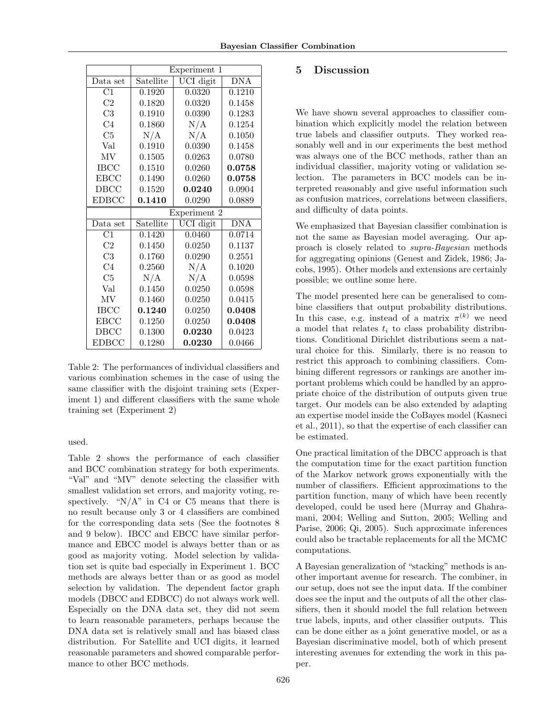|                                 | Experiment 1 |                               |                         |  |
|---------------------------------|--------------|-------------------------------|-------------------------|--|
| Data set                        | Satellite    | $\overline{\text{UCI}}$ digit | $\overline{\text{DNA}}$ |  |
| $\overline{\text{C1}}$          | 0.1920       | 0.0320                        | 0.1210                  |  |
| C <sub>2</sub>                  | 0.1820       | 0.0320                        | 0.1458                  |  |
| C3                              | 0.1910       | 0.0390                        | 0.1283                  |  |
| C <sub>4</sub>                  | 0.1860       | N/A                           | 0.1254                  |  |
| C5                              | N/A          | N/A                           | 0.1050                  |  |
| Val                             | 0.1910       | 0.0390                        | 0.1458                  |  |
| MV                              | 0.1505       | 0.0263                        | 0.0780                  |  |
| <b>IBCC</b>                     | 0.1510       | 0.0260                        | 0.0758                  |  |
| <b>EBCC</b>                     | 0.1490       | 0.0260                        | 0.0758                  |  |
| <b>DBCC</b>                     | 0.1520       | 0.0240                        | 0.0904                  |  |
| <b>EDBCC</b>                    | 0.1410       | 0.0290                        | 0.0889                  |  |
|                                 | Experiment 2 |                               |                         |  |
| Data set                        | Satellite    | UCI digit                     | $\overline{DNA}$        |  |
| $\overline{C1}$                 |              |                               |                         |  |
|                                 | 0.1420       | 0.0460                        | 0.0714                  |  |
| C2                              | 0.1450       | 0.0250                        | 0.1137                  |  |
| C <sub>3</sub>                  | 0.1760       | 0.0290                        | 0.2551                  |  |
| C <sub>4</sub>                  | 0.2560       | N/A                           | 0.1020                  |  |
| C5                              | N/A          | N/A                           | 0.0598                  |  |
| Val                             | 0.1450       | 0.0250                        | 0.0598                  |  |
| $\ensuremath{\text{MV}}\xspace$ | 0.1460       | 0.0250                        | 0.0415                  |  |
| <b>IBCC</b>                     | 0.1240       | 0.0250                        | 0.0408                  |  |
| <b>EBCC</b>                     | 0.1250       | 0.0250                        | 0.0408                  |  |
| DBCC                            | 0.1300       | 0.0230                        | 0.0423                  |  |

Table 2: The performances of individual classifiers and various combination schemes in the case of using the same classifier with the disjoint training sets (Experiment 1) and different classifiers with the same whole training set (Experiment 2)

used.

Table 2 shows the performance of each classifier and BCC combination strategy for both experiments. "Val" and "MV" denote selecting the classifier with smallest validation set errors, and majority voting, respectively. " $N/A$ " in C4 or C5 means that there is no result because only 3 or 4 classifiers are combined for the corresponding data sets (See the footnotes 8 and 9 below). IBCC and EBCC have similar performance and EBCC model is always better than or as good as majority voting. Model selection by validation set is quite bad especially in Experiment 1. BCC methods are always better than or as good as model selection by validation. The dependent factor graph models (DBCC and EDBCC) do not always work well. Especially on the DNA data set, they did not seem to learn reasonable parameters, perhaps because the DNA data set is relatively small and has biased class distribution. For Satellite and UCI digits, it learned reasonable parameters and showed comparable performance to other BCC methods.

## 5 Discussion

We have shown several approaches to classifier combination which explicitly model the relation between true labels and classifier outputs. They worked reasonably well and in our experiments the best method was always one of the BCC methods, rather than an individual classifier, majority voting or validation selection. The parameters in BCC models can be interpreted reasonably and give useful information such as confusion matrices, correlations between classifiers, and difficulty of data points.

We emphasized that Bayesian classifier combination is not the same as Bayesian model averaging. Our approach is closely related to supra-Bayesian methods for aggregating opinions (Genest and Zidek, 1986; Jacobs, 1995). Other models and extensions are certainly possible; we outline some here.

The model presented here can be generalised to combine classifiers that output probability distributions. In this case, e.g. instead of a matrix  $\pi^{(k)}$  we need a model that relates  $t_i$  to class probability distributions. Conditional Dirichlet distributions seem a natural choice for this. Similarly, there is no reason to restrict this approach to combining classifiers. Combining different regressors or rankings are another important problems which could be handled by an appropriate choice of the distribution of outputs given true target. Our models can be also extended by adapting an expertise model inside the CoBayes model (Kasneci et al., 2011), so that the expertise of each classifier can be estimated.

One practical limitation of the DBCC approach is that the computation time for the exact partition function of the Markov network grows exponentially with the number of classifiers. Efficient approximations to the partition function, many of which have been recently developed, could be used here (Murray and Ghahramani, 2004; Welling and Sutton, 2005; Welling and Parise, 2006; Qi, 2005). Such approximate inferences could also be tractable replacements for all the MCMC computations.

A Bayesian generalization of "stacking" methods is another important avenue for research. The combiner, in our setup, does not see the input data. If the combiner does see the input and the outputs of all the other classifiers, then it should model the full relation between true labels, inputs, and other classifier outputs. This can be done either as a joint generative model, or as a Bayesian discriminative model, both of which present interesting avenues for extending the work in this paper.